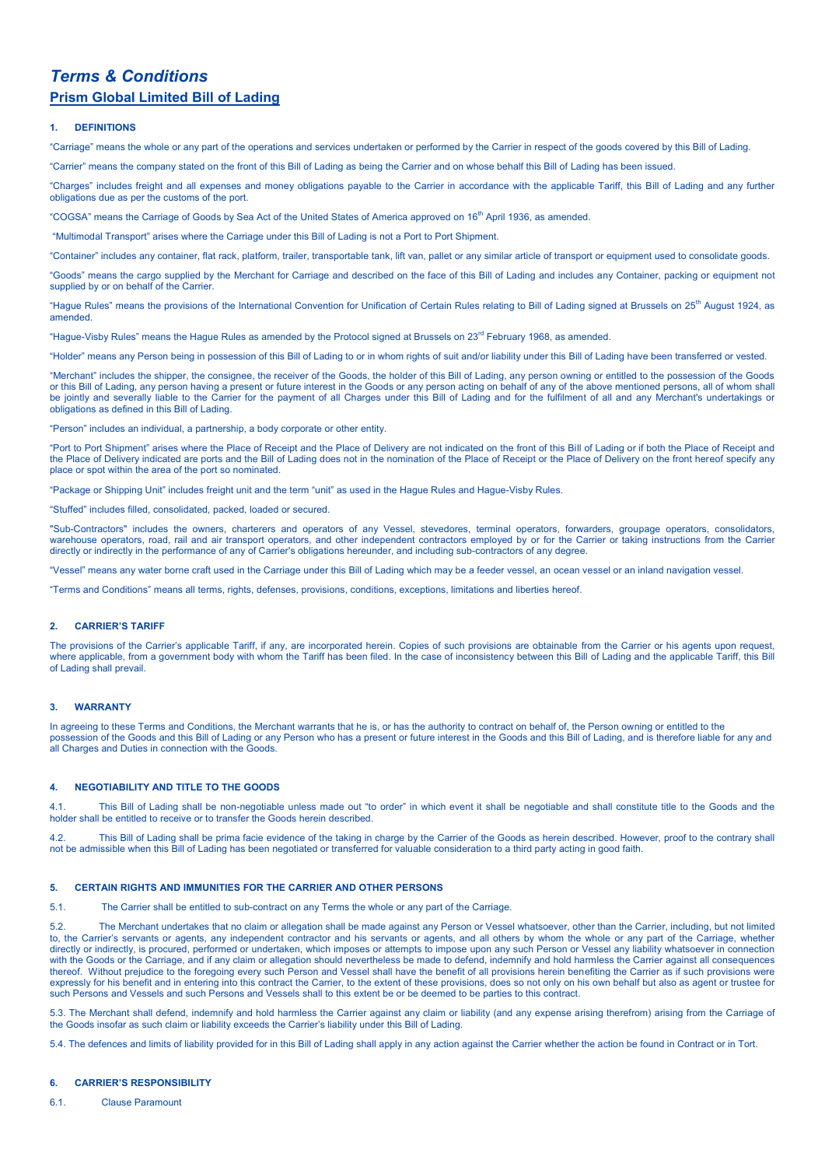# *Terms & Conditions*  **Prism Global Limited Bill of Lading**

# **1. DEFINITIONS**

"Carriage" means the whole or any part of the operations and services undertaken or performed by the Carrier in respect of the goods covered by this Bill of Lading.

"Carrier" means the company stated on the front of this Bill of Lading as being the Carrier and on whose behalf this Bill of Lading has been issued.

"Charges" includes freight and all expenses and money obligations payable to the Carrier in accordance with the applicable Tariff, this Bill of Lading and any further obligations due as per the customs of the port.

"COGSA" means the Carriage of Goods by Sea Act of the United States of America approved on 16<sup>th</sup> April 1936, as amended.

"Multimodal Transport" arises where the Carriage under this Bill of Lading is not a Port to Port Shipment.

"Container" includes any container, flat rack, platform, trailer, transportable tank, lift van, pallet or any similar article of transport or equipment used to consolidate goods.

"Goods" means the cargo supplied by the Merchant for Carriage and described on the face of this Bill of Lading and includes any Container, packing or equipment not supplied by or on behalf of the Carrier.

"Hague Rules" means the provisions of the International Convention for Unification of Certain Rules relating to Bill of Lading signed at Brussels on 25<sup>th</sup> August 1924, as amended.

"Hague-Visby Rules" means the Hague Rules as amended by the Protocol signed at Brussels on 23rd February 1968, as amended.

"Holder" means any Person being in possession of this Bill of Lading to or in whom rights of suit and/or liability under this Bill of Lading have been transferred or vested.

"Merchant" includes the shipper, the consignee, the receiver of the Goods, the holder of this Bill of Lading, any person owning or entitled to the possession of the Goods or this Bill of Lading, any person having a present or future interest in the Goods or any person acting on behalf of any of the above mentioned persons, all of whom shall be jointly and severally liable to the Carrier for the payment of all Charges under this Bill of Lading and for the fulfilment of all and any Merchant's undertakings or obligations as defined in this Bill of Lading.

"Person" includes an individual, a partnership, a body corporate or other entity.

"Port to Port Shipment" arises where the Place of Receipt and the Place of Delivery are not indicated on the front of this Bill of Lading or if both the Place of Receipt and the Place of Delivery indicated are ports and the Bill of Lading does not in the nomination of the Place of Receipt or the Place of Delivery on the front hereof specify any place or spot within the area of the port so nominated.

"Package or Shipping Unit" includes freight unit and the term "unit" as used in the Hague Rules and Hague-Visby Rules.

"Stuffed" includes filled, consolidated, packed, loaded or secured.

"Sub-Contractors" includes the owners, charterers and operators of any Vessel, stevedores, terminal operators, forwarders, groupage operators, consolidators, warehouse operators, road, rail and air transport operators, and other independent contractors employed by or for the Carrier or taking instructions from the Carrier directly or indirectly in the performance of any of Carrier's obligations hereunder, and including sub-contractors of any degree.

"Vessel" means any water borne craft used in the Carriage under this Bill of Lading which may be a feeder vessel, an ocean vessel or an inland navigation vessel.

"Terms and Conditions" means all terms, rights, defenses, provisions, conditions, exceptions, limitations and liberties hereof.

# **2. CARRIER'S TARIFF**

The provisions of the Carrier's applicable Tariff, if any, are incorporated herein. Copies of such provisions are obtainable from the Carrier or his agents upon request, where applicable, from a government body with whom the Tariff has been filed. In the case of inconsistency between this Bill of Lading and the applicable Tariff, this Bill of Lading shall prevail.

#### **3. WARRANTY**

In agreeing to these Terms and Conditions, the Merchant warrants that he is, or has the authority to contract on behalf of, the Person owning or entitled to the possession of the Goods and this Bill of Lading or any Person who has a present or future interest in the Goods and this Bill of Lading, and is therefore liable for any and all Charges and Duties in connection with the Goods.

# **4. NEGOTIABILITY AND TITLE TO THE GOODS**

4.1. This Bill of Lading shall be non-negotiable unless made out "to order" in which event it shall be negotiable and shall constitute title to the Goods and the holder shall be entitled to receive or to transfer the Goods herein described.

4.2. This Bill of Lading shall be prima facie evidence of the taking in charge by the Carrier of the Goods as herein described. However, proof to the contrary shall not be admissible when this Bill of Lading has been negotiated or transferred for valuable consideration to a third party acting in good faith.

# **5. CERTAIN RIGHTS AND IMMUNITIES FOR THE CARRIER AND OTHER PERSONS**

5.1. The Carrier shall be entitled to sub-contract on any Terms the whole or any part of the Carriage.

5.2. The Merchant undertakes that no claim or allegation shall be made against any Person or Vessel whatsoever, other than the Carrier, including, but not limited to, the Carrier's servants or agents, any independent contractor and his servants or agents, and all others by whom the whole or any part of the Carriage, whether directly or indirectly, is procured, performed or undertaken, which imposes or attempts to impose upon any such Person or Vessel any liability whatsoever in connection with the Goods or the Carriage, and if any claim or allegation should nevertheless be made to defend, indemnify and hold harmless the Carrier against all consequences thereof. Without prejudice to the foregoing every such Person and Vessel shall have the benefit of all provisions herein benefiting the Carrier as if such provisions were expressly for his benefit and in entering into this contract the Carrier, to the extent of these provisions, does so not only on his own behalf but also as agent or trustee for such Persons and Vessels and such Persons and Vessels shall to this extent be or be deemed to be parties to this contract.

5.3. The Merchant shall defend, indemnify and hold harmless the Carrier against any claim or liability (and any expense arising therefrom) arising from the Carriage of the Goods insofar as such claim or liability exceeds the Carrier's liability under this Bill of Lading.

5.4. The defences and limits of liability provided for in this Bill of Lading shall apply in any action against the Carrier whether the action be found in Contract or in Tort.

# **6. CARRIER'S RESPONSIBILITY**

6.1. Clause Paramount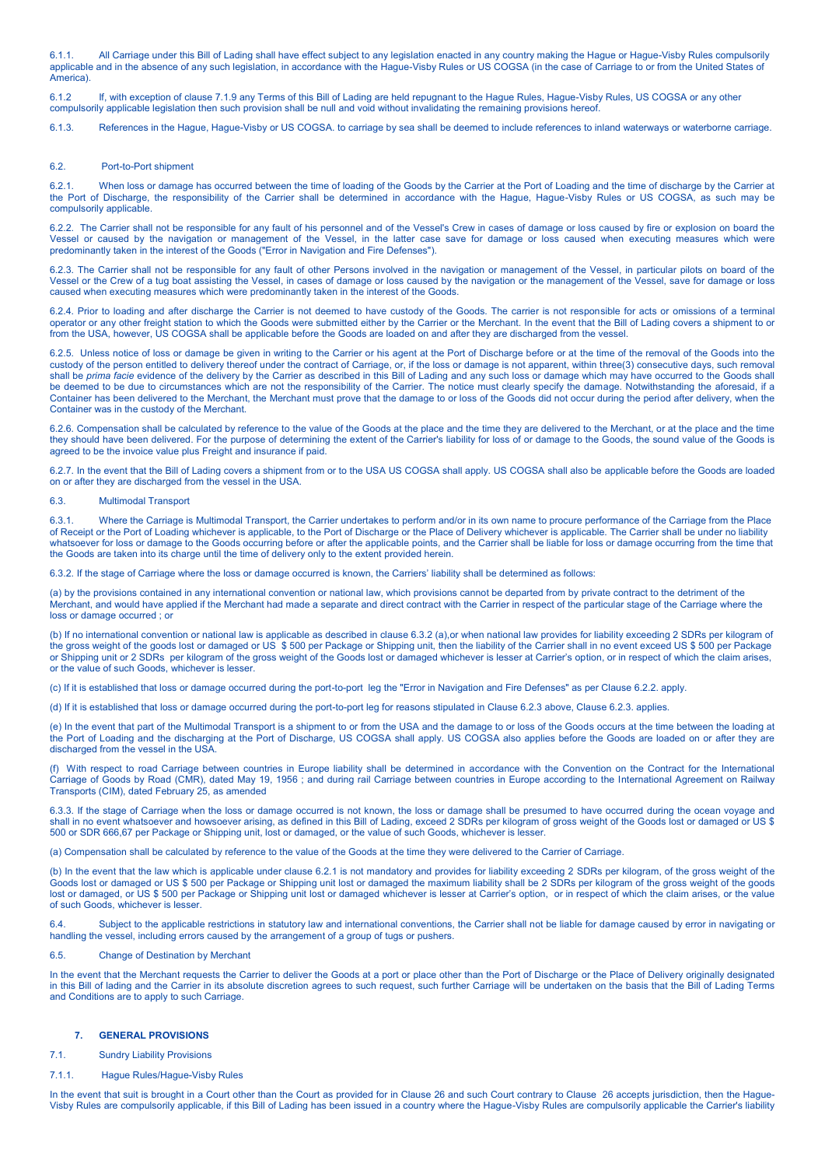6.1.1. All Carriage under this Bill of Lading shall have effect subject to any legislation enacted in any country making the Hague or Hague-Visby Rules compulsorily applicable and in the absence of any such legislation, in accordance with the Hague-Visby Rules or US COGSA (in the case of Carriage to or from the United States of America).

6.1.2 If, with exception of clause 7.1.9 any Terms of this Bill of Lading are held repugnant to the Hague Rules, Hague-Visby Rules, US COGSA or any other compulsorily applicable legislation then such provision shall be null and void without invalidating the remaining provisions hereof.

6.1.3. References in the Hague, Hague-Visby or US COGSA. to carriage by sea shall be deemed to include references to inland waterways or waterborne carriage.

#### 6.2. Port-to-Port shipment

6.2.1. When loss or damage has occurred between the time of loading of the Goods by the Carrier at the Port of Loading and the time of discharge by the Carrier at the Port of Discharge, the responsibility of the Carrier shall be determined in accordance with the Hague, Hague-Visby Rules or US COGSA, as such may be compulsorily applicable.

6.2.2. The Carrier shall not be responsible for any fault of his personnel and of the Vessel's Crew in cases of damage or loss caused by fire or explosion on board the Vessel or caused by the navigation or management of the Vessel, in the latter case save for damage or loss caused when executing measures which were predominantly taken in the interest of the Goods ("Error in Navigation and Fire Defenses").

6.2.3. The Carrier shall not be responsible for any fault of other Persons involved in the navigation or management of the Vessel, in particular pilots on board of the Vessel or the Crew of a tug boat assisting the Vessel, in cases of damage or loss caused by the navigation or the management of the Vessel, save for damage or loss caused when executing measures which were predominantly taken in the interest of the Goods.

6.2.4. Prior to loading and after discharge the Carrier is not deemed to have custody of the Goods. The carrier is not responsible for acts or omissions of a terminal operator or any other freight station to which the Goods were submitted either by the Carrier or the Merchant. In the event that the Bill of Lading covers a shipment to or from the USA, however, US COGSA shall be applicable before the Goods are loaded on and after they are discharged from the vessel.

6.2.5. Unless notice of loss or damage be given in writing to the Carrier or his agent at the Port of Discharge before or at the time of the removal of the Goods into the custody of the person entitled to delivery thereof under the contract of Carriage, or, if the loss or damage is not apparent, within three(3) consecutive days, such removal shall be *prima facie* evidence of the delivery by the Carrier as described in this Bill of Lading and any such loss or damage which may have occurred to the Goods shall be deemed to be due to circumstances which are not the responsibility of the Carrier. The notice must clearly specify the damage. Notwithstanding the aforesaid, if a Container has been delivered to the Merchant, the Merchant must prove that the damage to or loss of the Goods did not occur during the period after delivery, when the Container was in the custody of the Merchant.

6.2.6. Compensation shall be calculated by reference to the value of the Goods at the place and the time they are delivered to the Merchant, or at the place and the time they should have been delivered. For the purpose of determining the extent of the Carrier's liability for loss of or damage to the Goods, the sound value of the Goods is agreed to be the invoice value plus Freight and insurance if paid

6.2.7. In the event that the Bill of Lading covers a shipment from or to the USA US COGSA shall apply. US COGSA shall also be applicable before the Goods are loaded on or after they are discharged from the vessel in the USA.

#### 6.3. Multimodal Transport

6.3.1. Where the Carriage is Multimodal Transport, the Carrier undertakes to perform and/or in its own name to procure performance of the Carriage from the Place of Receipt or the Port of Loading whichever is applicable, to the Port of Discharge or the Place of Delivery whichever is applicable. The Carrier shall be under no liability whatsoever for loss or damage to the Goods occurring before or after the applicable points, and the Carrier shall be liable for loss or damage occurring from the time that the Goods are taken into its charge until the time of delivery only to the extent provided herein.

6.3.2. If the stage of Carriage where the loss or damage occurred is known, the Carriers' liability shall be determined as follows:

(a) by the provisions contained in any international convention or national law, which provisions cannot be departed from by private contract to the detriment of the Merchant, and would have applied if the Merchant had made a separate and direct contract with the Carrier in respect of the particular stage of the Carriage where the loss or damage occurred ; or

(b) If no international convention or national law is applicable as described in clause 6.3.2 (a),or when national law provides for liability exceeding 2 SDRs per kilogram of the gross weight of the goods lost or damaged or US \$ 500 per Package or Shipping unit, then the liability of the Carrier shall in no event exceed US \$ 500 per Package or Shipping unit or 2 SDRs per kilogram of the gross weight of the Goods lost or damaged whichever is lesser at Carrier's option, or in respect of which the claim arises, or the value of such Goods, whichever is lesser

(c) If it is established that loss or damage occurred during the port-to-port leg the "Error in Navigation and Fire Defenses" as per Clause 6.2.2. apply.

(d) If it is established that loss or damage occurred during the port-to-port leg for reasons stipulated in Clause 6.2.3 above, Clause 6.2.3. applies.

(e) In the event that part of the Multimodal Transport is a shipment to or from the USA and the damage to or loss of the Goods occurs at the time between the loading at the Port of Loading and the discharging at the Port of Discharge, US COGSA shall apply. US COGSA also applies before the Goods are loaded on or after they are discharged from the vessel in the USA.

(f) With respect to road Carriage between countries in Europe liability shall be determined in accordance with the Convention on the Contract for the International Carriage of Goods by Road (CMR), dated May 19, 1956 ; and during rail Carriage between countries in Europe according to the International Agreement on Railway Transports (CIM), dated February 25, as amended

6.3.3. If the stage of Carriage when the loss or damage occurred is not known, the loss or damage shall be presumed to have occurred during the ocean voyage and shall in no event whatsoever and howsoever arising, as defined in this Bill of Lading, exceed 2 SDRs per kilogram of gross weight of the Goods lost or damaged or US \$ 500 or SDR 666,67 per Package or Shipping unit, lost or damaged, or the value of such Goods, whichever is lesser.

(a) Compensation shall be calculated by reference to the value of the Goods at the time they were delivered to the Carrier of Carriage.

(b) In the event that the law which is applicable under clause 6.2.1 is not mandatory and provides for liability exceeding 2 SDRs per kilogram, of the gross weight of the Goods lost or damaged or US \$ 500 per Package or Shipping unit lost or damaged the maximum liability shall be 2 SDRs per kilogram of the gross weight of the goods lost or damaged, or US \$ 500 per Package or Shipping unit lost or damaged whichever is lesser at Carrier's option, or in respect of which the claim arises, or the value of such Goods, whichever is lesser.

6.4. Subject to the applicable restrictions in statutory law and international conventions, the Carrier shall not be liable for damage caused by error in navigating or handling the vessel, including errors caused by the arrangement of a group of tugs or pushers.

#### 6.5. Change of Destination by Merchant

In the event that the Merchant requests the Carrier to deliver the Goods at a port or place other than the Port of Discharge or the Place of Delivery originally designated in this Bill of lading and the Carrier in its absolute discretion agrees to such request, such further Carriage will be undertaken on the basis that the Bill of Lading Terms and Conditions are to apply to such Carriage.

## **7. GENERAL PROVISIONS**

# 7.1. Sundry Liability Provisions

7.1.1. Hague Rules/Hague-Visby Rules

In the event that suit is brought in a Court other than the Court as provided for in Clause 26 and such Court contrary to Clause 26 accepts jurisdiction, then the Hague-Visby Rules are compulsorily applicable, if this Bill of Lading has been issued in a country where the Hague-Visby Rules are compulsorily applicable the Carrier's liability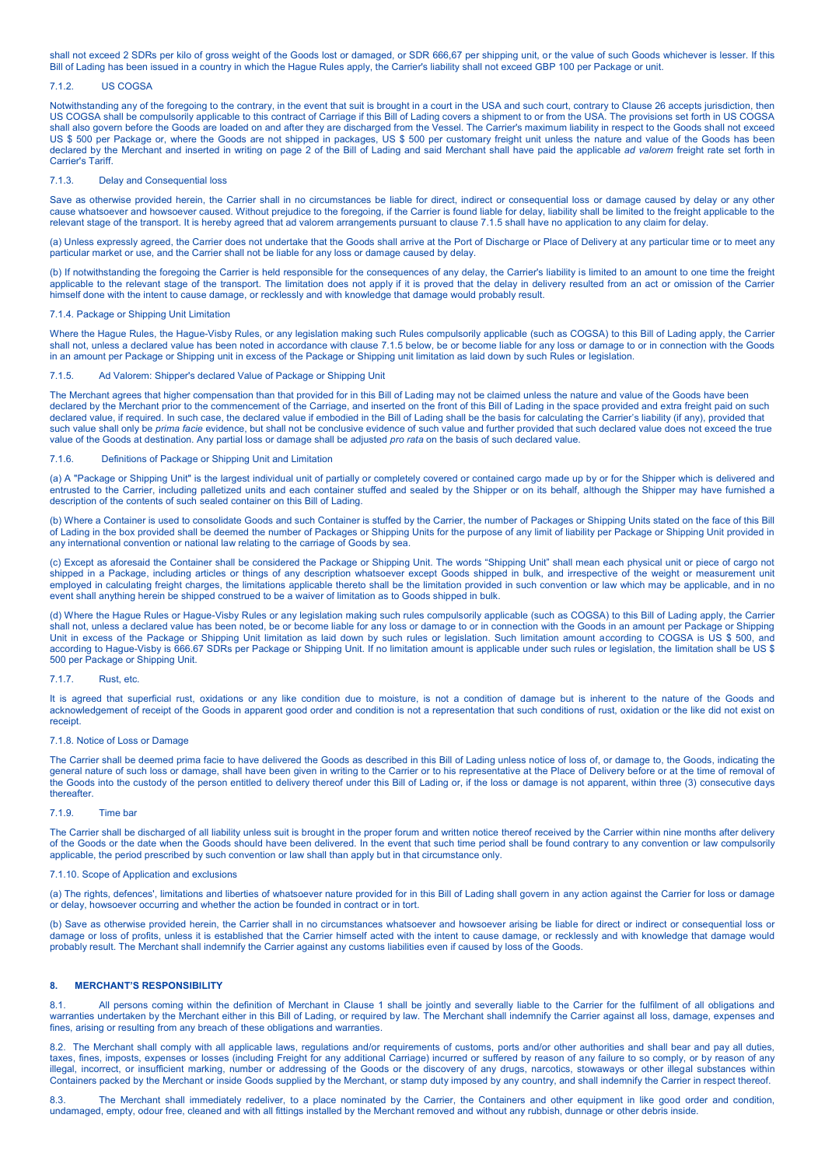shall not exceed 2 SDRs per kilo of gross weight of the Goods lost or damaged, or SDR 666,67 per shipping unit, or the value of such Goods whichever is lesser. If this Bill of Lading has been issued in a country in which the Hague Rules apply, the Carrier's liability shall not exceed GBP 100 per Package or unit.

#### 7.1.2. US COGSA

Notwithstanding any of the foregoing to the contrary, in the event that suit is brought in a court in the USA and such court, contrary to Clause 26 accepts jurisdiction, then US COGSA shall be compulsorily applicable to this contract of Carriage if this Bill of Lading covers a shipment to or from the USA. The provisions set forth in US COGSA shall also govern before the Goods are loaded on and after they are discharged from the Vessel. The Carrier's maximum liability in respect to the Goods shall not exceed US \$ 500 per Package or, where the Goods are not shipped in packages, US \$ 500 per customary freight unit unless the nature and value of the Goods has been declared by the Merchant and inserted in writing on page 2 of the Bill of Lading and said Merchant shall have paid the applicable *ad valorem* freight rate set forth in Carrier's Tariff.

# 7.1.3. Delay and Consequential loss

Save as otherwise provided herein, the Carrier shall in no circumstances be liable for direct, indirect or consequential loss or damage caused by delay or any other cause whatsoever and howsoever caused. Without prejudice to the foregoing, if the Carrier is found liable for delay, liability shall be limited to the freight applicable to the relevant stage of the transport. It is hereby agreed that ad valorem arrangements pursuant to clause 7.1.5 shall have no application to any claim for delay.

(a) Unless expressly agreed, the Carrier does not undertake that the Goods shall arrive at the Port of Discharge or Place of Delivery at any particular time or to meet any particular market or use, and the Carrier shall not be liable for any loss or damage caused by delay.

(b) If notwithstanding the foregoing the Carrier is held responsible for the consequences of any delay, the Carrier's liability is limited to an amount to one time the freight applicable to the relevant stage of the transport. The limitation does not apply if it is proved that the delay in delivery resulted from an act or omission of the Carrier himself done with the intent to cause damage, or recklessly and with knowledge that damage would probably result.

#### 7.1.4. Package or Shipping Unit Limitation

Where the Hague Rules, the Hague-Visby Rules, or any legislation making such Rules compulsorily applicable (such as COGSA) to this Bill of Lading apply, the Carrier shall not, unless a declared value has been noted in accordance with clause 7.1.5 below, be or become liable for any loss or damage to or in connection with the Goods in an amount per Package or Shipping unit in excess of the Package or Shipping unit limitation as laid down by such Rules or legislation.

#### 7.1.5. Ad Valorem: Shipper's declared Value of Package or Shipping Unit

The Merchant agrees that higher compensation than that provided for in this Bill of Lading may not be claimed unless the nature and value of the Goods have been declared by the Merchant prior to the commencement of the Carriage, and inserted on the front of this Bill of Lading in the space provided and extra freight paid on such declared value, if required. In such case, the declared value if embodied in the Bill of Lading shall be the basis for calculating the Carrier's liability (if any), provided that such value shall only be *prima facie* evidence, but shall not be conclusive evidence of such value and further provided that such declared value does not exceed the true value of the Goods at destination. Any partial loss or damage shall be adjusted *pro rata* on the basis of such declared value.

#### Definitions of Package or Shipping Unit and Limitation

(a) A "Package or Shipping Unit" is the largest individual unit of partially or completely covered or contained cargo made up by or for the Shipper which is delivered and entrusted to the Carrier, including palletized units and each container stuffed and sealed by the Shipper or on its behalf, although the Shipper may have furnished a description of the contents of such sealed container on this Bill of Lading.

(b) Where a Container is used to consolidate Goods and such Container is stuffed by the Carrier, the number of Packages or Shipping Units stated on the face of this Bill of Lading in the box provided shall be deemed the number of Packages or Shipping Units for the purpose of any limit of liability per Package or Shipping Unit provided in any international convention or national law relating to the carriage of Goods by sea.

(c) Except as aforesaid the Container shall be considered the Package or Shipping Unit. The words "Shipping Unit" shall mean each physical unit or piece of cargo not shipped in a Package, including articles or things of any description whatsoever except Goods shipped in bulk, and irrespective of the weight or measurement unit employed in calculating freight charges, the limitations applicable thereto shall be the limitation provided in such convention or law which may be applicable, and in no event shall anything herein be shipped construed to be a waiver of limitation as to Goods shipped in bulk.

(d) Where the Hague Rules or Hague-Visby Rules or any legislation making such rules compulsorily applicable (such as COGSA) to this Bill of Lading apply, the Carrier shall not, unless a declared value has been noted, be or become liable for any loss or damage to or in connection with the Goods in an amount per Package or Shipping Unit in excess of the Package or Shipping Unit limitation as laid down by such rules or legislation. Such limitation amount according to COGSA is US \$ 500, and according to Hague-Visby is 666.67 SDRs per Package or Shipping Unit. If no limitation amount is applicable under such rules or legislation, the limitation shall be US \$ 500 per Package or Shipping Unit.

#### 7.1.7. Rust, etc.

It is agreed that superficial rust, oxidations or any like condition due to moisture, is not a condition of damage but is inherent to the nature of the Goods and acknowledgement of receipt of the Goods in apparent good order and condition is not a representation that such conditions of rust, oxidation or the like did not exist on receipt.

#### 7.1.8. Notice of Loss or Damage

The Carrier shall be deemed prima facie to have delivered the Goods as described in this Bill of Lading unless notice of loss of, or damage to, the Goods, indicating the general nature of such loss or damage, shall have been given in writing to the Carrier or to his representative at the Place of Delivery before or at the time of removal of the Goods into the custody of the person entitled to delivery thereof under this Bill of Lading or, if the loss or damage is not apparent, within three (3) consecutive days thereafter.

# 7.1.9. Time bar

The Carrier shall be discharged of all liability unless suit is brought in the proper forum and written notice thereof received by the Carrier within nine months after delivery of the Goods or the date when the Goods should have been delivered. In the event that such time period shall be found contrary to any convention or law compulsorily applicable, the period prescribed by such convention or law shall than apply but in that circumstance only.

# 7.1.10. Scope of Application and exclusions

(a) The rights, defences', limitations and liberties of whatsoever nature provided for in this Bill of Lading shall govern in any action against the Carrier for loss or damage or delay, howsoever occurring and whether the action be founded in contract or in tort.

(b) Save as otherwise provided herein, the Carrier shall in no circumstances whatsoever and howsoever arising be liable for direct or indirect or consequential loss or damage or loss of profits, unless it is established that the Carrier himself acted with the intent to cause damage, or recklessly and with knowledge that damage would probably result. The Merchant shall indemnify the Carrier against any customs liabilities even if caused by loss of the Goods.

#### **8. MERCHANT'S RESPONSIBILITY**

8.1. All persons coming within the definition of Merchant in Clause 1 shall be jointly and severally liable to the Carrier for the fulfilment of all obligations and warranties undertaken by the Merchant either in this Bill of Lading, or required by law. The Merchant shall indemnify the Carrier against all loss, damage, expenses and fines, arising or resulting from any breach of these obligations and warranties.

8.2. The Merchant shall comply with all applicable laws, regulations and/or requirements of customs, ports and/or other authorities and shall bear and pay all duties, taxes, fines, imposts, expenses or losses (including Freight for any additional Carriage) incurred or suffered by reason of any failure to so comply, or by reason of any illegal, incorrect, or insufficient marking, number or addressing of the Goods or the discovery of any drugs, narcotics, stowaways or other illegal substances within Containers packed by the Merchant or inside Goods supplied by the Merchant, or stamp duty imposed by any country, and shall indemnify the Carrier in respect thereof.

8.3. The Merchant shall immediately redeliver, to a place nominated by the Carrier, the Containers and other equipment in like good order and condition, undamaged, empty, odour free, cleaned and with all fittings installed by the Merchant removed and without any rubbish, dunnage or other debris inside.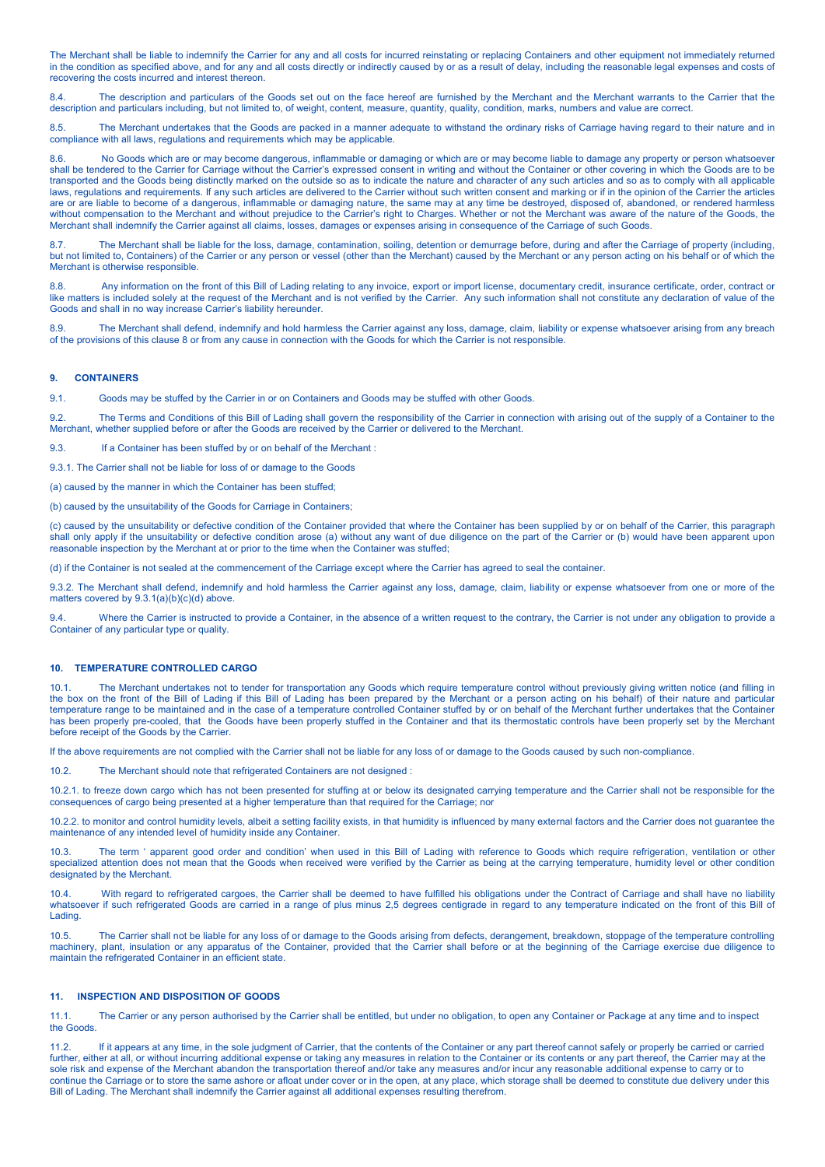The Merchant shall be liable to indemnify the Carrier for any and all costs for incurred reinstating or replacing Containers and other equipment not immediately returned in the condition as specified above, and for any and all costs directly or indirectly caused by or as a result of delay, including the reasonable legal expenses and costs of recovering the costs incurred and interest thereon.

8.4. The description and particulars of the Goods set out on the face hereof are furnished by the Merchant and the Merchant warrants to the Carrier that the description and particulars including, but not limited to, of weight, content, measure, quantity, quality, condition, marks, numbers and value are correct.

8.5. The Merchant undertakes that the Goods are packed in a manner adequate to withstand the ordinary risks of Carriage having regard to their nature and in compliance with all laws, regulations and requirements which may be applicable.

8.6. No Goods which are or may become dangerous, inflammable or damaging or which are or may become liable to damage any property or person whatsoever shall be tendered to the Carrier for Carriage without the Carrier's expressed consent in writing and without the Container or other covering in which the Goods are to be transported and the Goods being distinctly marked on the outside so as to indicate the nature and character of any such articles and so as to comply with all applicable laws, regulations and requirements. If any such articles are delivered to the Carrier without such written consent and marking or if in the opinion of the Carrier the articles are or are liable to become of a dangerous, inflammable or damaging nature, the same may at any time be destroyed, disposed of, abandoned, or rendered harmless without compensation to the Merchant and without prejudice to the Carrier's right to Charges. Whether or not the Merchant was aware of the nature of the Goods, the Merchant shall indemnify the Carrier against all claims, losses, damages or expenses arising in consequence of the Carriage of such Goods.

8.7. The Merchant shall be liable for the loss, damage, contamination, soiling, detention or demurrage before, during and after the Carriage of property (including, but not limited to, Containers) of the Carrier or any person or vessel (other than the Merchant) caused by the Merchant or any person acting on his behalf or of which the Merchant is otherwise responsible.

8.8. Any information on the front of this Bill of Lading relating to any invoice, export or import license, documentary credit, insurance certificate, order, contract or like matters is included solely at the request of the Merchant and is not verified by the Carrier. Any such information shall not constitute any declaration of value of the Goods and shall in no way increase Carrier's liability hereunder.

8.9. The Merchant shall defend, indemnify and hold harmless the Carrier against any loss, damage, claim, liability or expense whatsoever arising from any breach of the provisions of this clause 8 or from any cause in connection with the Goods for which the Carrier is not responsible.

# **9. CONTAINERS**

9.1. Goods may be stuffed by the Carrier in or on Containers and Goods may be stuffed with other Goods.

9.2. The Terms and Conditions of this Bill of Lading shall govern the responsibility of the Carrier in connection with arising out of the supply of a Container to the Merchant, whether supplied before or after the Goods are received by the Carrier or delivered to the Merchant.

9.3. If a Container has been stuffed by or on behalf of the Merchant :

9.3.1. The Carrier shall not be liable for loss of or damage to the Goods

(a) caused by the manner in which the Container has been stuffed;

(b) caused by the unsuitability of the Goods for Carriage in Containers;

(c) caused by the unsuitability or defective condition of the Container provided that where the Container has been supplied by or on behalf of the Carrier, this paragraph shall only apply if the unsuitability or defective condition arose (a) without any want of due diligence on the part of the Carrier or (b) would have been apparent upon reasonable inspection by the Merchant at or prior to the time when the Container was stuffed;

(d) if the Container is not sealed at the commencement of the Carriage except where the Carrier has agreed to seal the container.

9.3.2. The Merchant shall defend, indemnify and hold harmless the Carrier against any loss, damage, claim, liability or expense whatsoever from one or more of the matters covered by 9.3.1(a)(b)(c)(d) above.

9.4. Where the Carrier is instructed to provide a Container, in the absence of a written request to the contrary, the Carrier is not under any obligation to provide a Container of any particular type or quality.

# **10. TEMPERATURE CONTROLLED CARGO**

10.1. The Merchant undertakes not to tender for transportation any Goods which require temperature control without previously giving written notice (and filling in the box on the front of the Bill of Lading if this Bill of Lading has been prepared by the Merchant or a person acting on his behalf) of their nature and particular temperature range to be maintained and in the case of a temperature controlled Container stuffed by or on behalf of the Merchant further undertakes that the Container has been properly pre-cooled, that the Goods have been properly stuffed in the Container and that its thermostatic controls have been properly set by the Merchant before receipt of the Goods by the Carrier.

If the above requirements are not complied with the Carrier shall not be liable for any loss of or damage to the Goods caused by such non-compliance.

10.2. The Merchant should note that refrigerated Containers are not designed :

10.2.1. to freeze down cargo which has not been presented for stuffing at or below its designated carrying temperature and the Carrier shall not be responsible for the consequences of cargo being presented at a higher temperature than that required for the Carriage; nor

10.2.2. to monitor and control humidity levels, albeit a setting facility exists, in that humidity is influenced by many external factors and the Carrier does not guarantee the maintenance of any intended level of humidity inside any Container.

10.3. The term ' apparent good order and condition' when used in this Bill of Lading with reference to Goods which require refrigeration, ventilation or other specialized attention does not mean that the Goods when received were verified by the Carrier as being at the carrying temperature, humidity level or other condition designated by the Merchant.

10.4. With regard to refrigerated cargoes, the Carrier shall be deemed to have fulfilled his obligations under the Contract of Carriage and shall have no liability whatsoever if such refrigerated Goods are carried in a range of plus minus 2,5 degrees centigrade in regard to any temperature indicated on the front of this Bill of Lading.

10.5. The Carrier shall not be liable for any loss of or damage to the Goods arising from defects, derangement, breakdown, stoppage of the temperature controlling machinery, plant, insulation or any apparatus of the Container, provided that the Carrier shall before or at the beginning of the Carriage exercise due diligence to maintain the refrigerated Container in an efficient state.

# **11. INSPECTION AND DISPOSITION OF GOODS**

11.1. The Carrier or any person authorised by the Carrier shall be entitled, but under no obligation, to open any Container or Package at any time and to inspect the Goods.

11.2. If it appears at any time, in the sole judgment of Carrier, that the contents of the Container or any part thereof cannot safely or properly be carried or carried further, either at all, or without incurring additional expense or taking any measures in relation to the Container or its contents or any part thereof, the Carrier may at the sole risk and expense of the Merchant abandon the transportation thereof and/or take any measures and/or incur any reasonable additional expense to carry or to continue the Carriage or to store the same ashore or afloat under cover or in the open, at any place, which storage shall be deemed to constitute due delivery under this Bill of Lading. The Merchant shall indemnify the Carrier against all additional expenses resulting therefrom.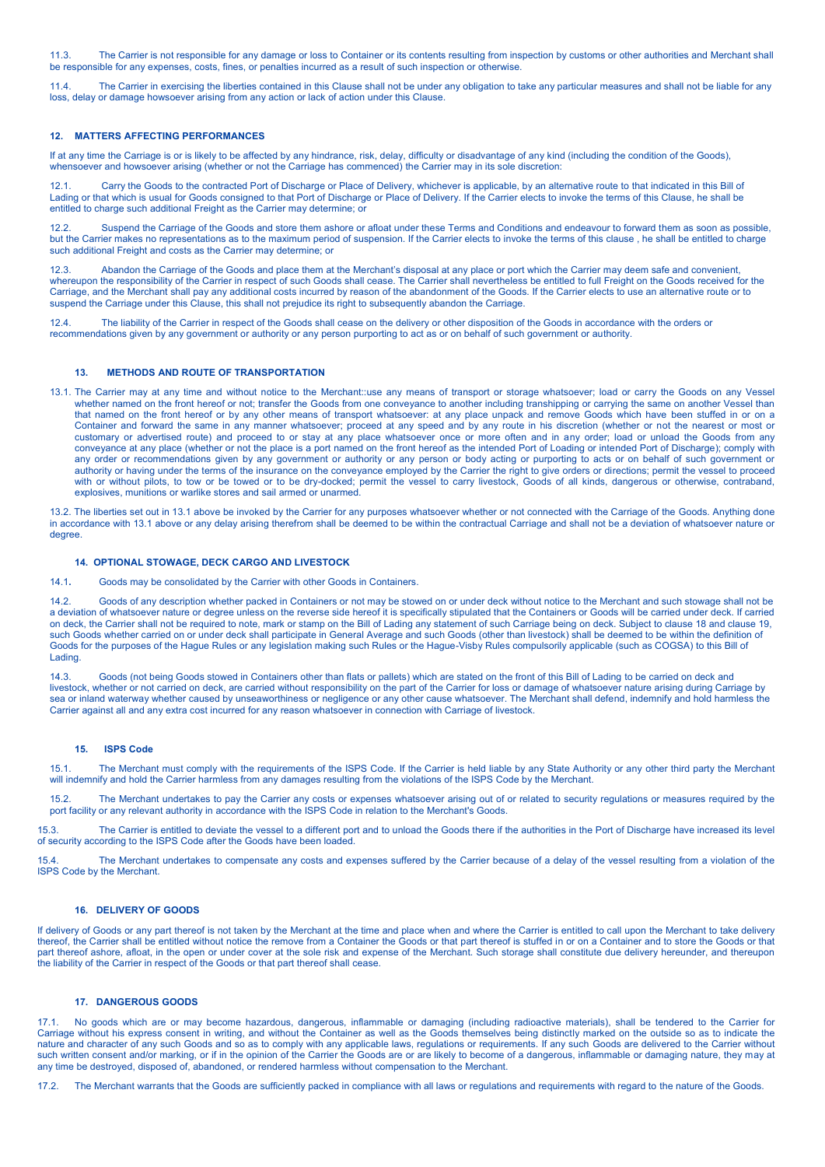11.3. The Carrier is not responsible for any damage or loss to Container or its contents resulting from inspection by customs or other authorities and Merchant shall be responsible for any expenses, costs, fines, or penalties incurred as a result of such inspection or otherwise.

11.4. The Carrier in exercising the liberties contained in this Clause shall not be under any obligation to take any particular measures and shall not be liable for any loss, delay or damage howsoever arising from any action or lack of action under this Clause.

# **12. MATTERS AFFECTING PERFORMANCES**

If at any time the Carriage is or is likely to be affected by any hindrance, risk, delay, difficulty or disadvantage of any kind (including the condition of the Goods), whensoever and howsoever arising (whether or not the Carriage has commenced) the Carrier may in its sole discretion:

Carry the Goods to the contracted Port of Discharge or Place of Delivery, whichever is applicable, by an alternative route to that indicated in this Bill of Lading or that which is usual for Goods consigned to that Port of Discharge or Place of Delivery. If the Carrier elects to invoke the terms of this Clause, he shall be entitled to charge such additional Freight as the Carrier may determine; or

12.2. Suspend the Carriage of the Goods and store them ashore or afloat under these Terms and Conditions and endeavour to forward them as soon as possible, but the Carrier makes no representations as to the maximum period of suspension. If the Carrier elects to invoke the terms of this clause , he shall be entitled to charge such additional Freight and costs as the Carrier may determine; or

12.3. Abandon the Carriage of the Goods and place them at the Merchant's disposal at any place or port which the Carrier may deem safe and convenient, whereupon the responsibility of the Carrier in respect of such Goods shall cease. The Carrier shall nevertheless be entitled to full Freight on the Goods received for the Carriage, and the Merchant shall pay any additional costs incurred by reason of the abandonment of the Goods. If the Carrier elects to use an alternative route or to suspend the Carriage under this Clause, this shall not prejudice its right to subsequently abandon the Carriage.

12.4. The liability of the Carrier in respect of the Goods shall cease on the delivery or other disposition of the Goods in accordance with the orders or recommendations given by any government or authority or any person purporting to act as or on behalf of such government or authority.

## **13. METHODS AND ROUTE OF TRANSPORTATION**

13.1. The Carrier may at any time and without notice to the Merchant::use any means of transport or storage whatsoever; load or carry the Goods on any Vessel whether named on the front hereof or not; transfer the Goods from one conveyance to another including transhipping or carrying the same on another Vessel than that named on the front hereof or by any other means of transport whatsoever: at any place unpack and remove Goods which have been stuffed in or on a Container and forward the same in any manner whatsoever; proceed at any speed and by any route in his discretion (whether or not the nearest or most or customary or advertised route) and proceed to or stay at any place whatsoever once or more often and in any order; load or unload the Goods from any conveyance at any place (whether or not the place is a port named on the front hereof as the intended Port of Loading or intended Port of Discharge); comply with any order or recommendations given by any government or authority or any person or body acting or purporting to acts or on behalf of such government or authority or having under the terms of the insurance on the conveyance employed by the Carrier the right to give orders or directions; permit the vessel to proceed with or without pilots, to tow or be towed or to be dry-docked; permit the vessel to carry livestock, Goods of all kinds, dangerous or otherwise, contraband, explosives, munitions or warlike stores and sail armed or unarmed.

13.2. The liberties set out in 13.1 above be invoked by the Carrier for any purposes whatsoever whether or not connected with the Carriage of the Goods. Anything done in accordance with 13.1 above or any delay arising therefrom shall be deemed to be within the contractual Carriage and shall not be a deviation of whatsoever nature or degree

#### **14. OPTIONAL STOWAGE, DECK CARGO AND LIVESTOCK**

14.1**.** Goods may be consolidated by the Carrier with other Goods in Containers.

14.2. Goods of any description whether packed in Containers or not may be stowed on or under deck without notice to the Merchant and such stowage shall not be a deviation of whatsoever nature or degree unless on the reverse side hereof it is specifically stipulated that the Containers or Goods will be carried under deck. If carried on deck, the Carrier shall not be required to note, mark or stamp on the Bill of Lading any statement of such Carriage being on deck. Subject to clause 18 and clause 19, such Goods whether carried on or under deck shall participate in General Average and such Goods (other than livestock) shall be deemed to be within the definition of Goods for the purposes of the Hague Rules or any legislation making such Rules or the Hague-Visby Rules compulsorily applicable (such as COGSA) to this Bill of **Lading** 

14.3. Goods (not being Goods stowed in Containers other than flats or pallets) which are stated on the front of this Bill of Lading to be carried on deck and livestock, whether or not carried on deck, are carried without responsibility on the part of the Carrier for loss or damage of whatsoever nature arising during Carriage by sea or inland waterway whether caused by unseaworthiness or negligence or any other cause whatsoever. The Merchant shall defend, indemnify and hold harmless the Carrier against all and any extra cost incurred for any reason whatsoever in connection with Carriage of livestock.

# **15. ISPS Code**

15.1. The Merchant must comply with the requirements of the ISPS Code. If the Carrier is held liable by any State Authority or any other third party the Merchant will indemnify and hold the Carrier harmless from any damages resulting from the violations of the ISPS Code by the Merchant.

15.2. The Merchant undertakes to pay the Carrier any costs or expenses whatsoever arising out of or related to security regulations or measures required by the port facility or any relevant authority in accordance with the ISPS Code in relation to the Merchant's Goods.

15.3. The Carrier is entitled to deviate the vessel to a different port and to unload the Goods there if the authorities in the Port of Discharge have increased its level of security according to the ISPS Code after the Goods have been loaded.

15.4. The Merchant undertakes to compensate any costs and expenses suffered by the Carrier because of a delay of the vessel resulting from a violation of the ISPS Code by the Merchant.

#### **16. DELIVERY OF GOODS**

If delivery of Goods or any part thereof is not taken by the Merchant at the time and place when and where the Carrier is entitled to call upon the Merchant to take delivery thereof, the Carrier shall be entitled without notice the remove from a Container the Goods or that part thereof is stuffed in or on a Container and to store the Goods or that part thereof ashore, afloat, in the open or under cover at the sole risk and expense of the Merchant. Such storage shall constitute due delivery hereunder, and thereupon the liability of the Carrier in respect of the Goods or that part thereof shall cease.

#### **17. DANGEROUS GOODS**

17.1. No goods which are or may become hazardous, dangerous, inflammable or damaging (including radioactive materials), shall be tendered to the Carrier for Carriage without his express consent in writing, and without the Container as well as the Goods themselves being distinctly marked on the outside so as to indicate the nature and character of any such Goods and so as to comply with any applicable laws, regulations or requirements. If any such Goods are delivered to the Carrier without such written consent and/or marking, or if in the opinion of the Carrier the Goods are or are likely to become of a dangerous, inflammable or damaging nature, they may at any time be destroyed, disposed of, abandoned, or rendered harmless without compensation to the Merchant.

17.2. The Merchant warrants that the Goods are sufficiently packed in compliance with all laws or regulations and requirements with regard to the nature of the Goods.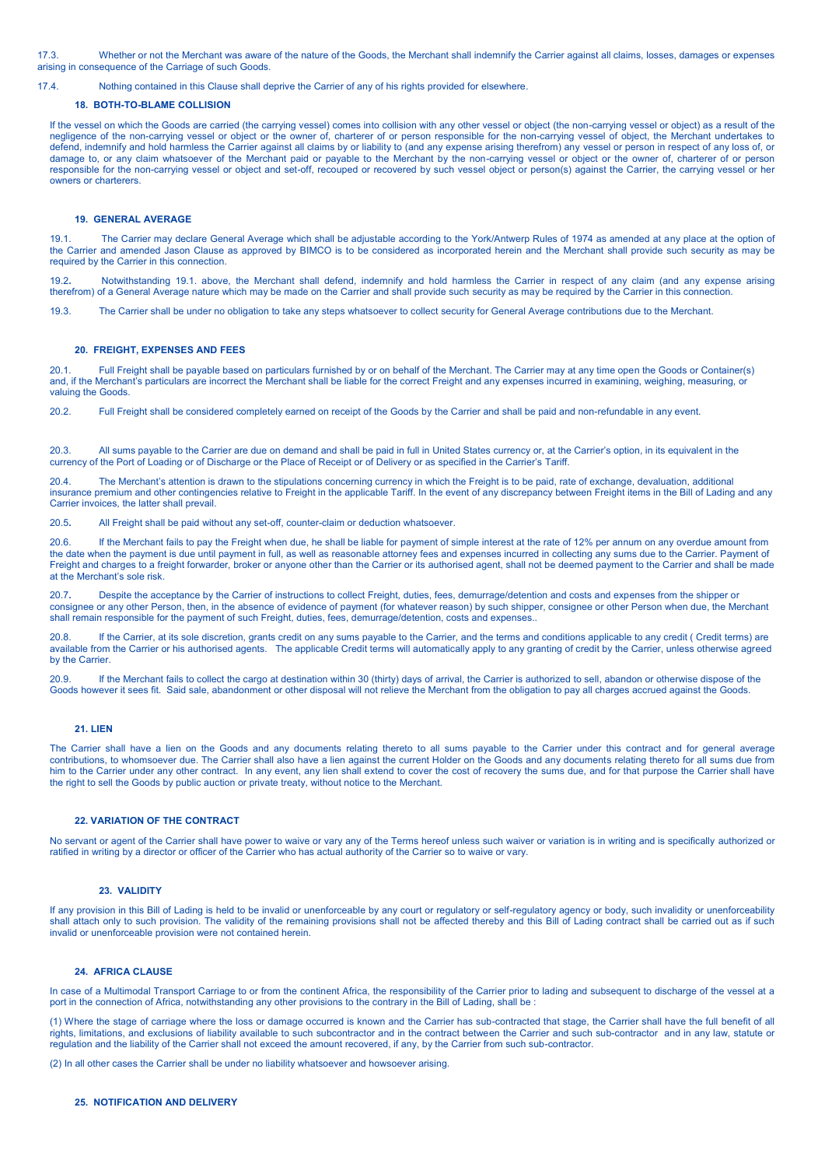17.3. Whether or not the Merchant was aware of the nature of the Goods, the Merchant shall indemnify the Carrier against all claims, losses, damages or expenses arising in consequence of the Carriage of such Goods.

# 17.4. Nothing contained in this Clause shall deprive the Carrier of any of his rights provided for elsewhere.

#### **18. BOTH-TO-BLAME COLLISION**

If the vessel on which the Goods are carried (the carrying vessel) comes into collision with any other vessel or object (the non-carrying vessel or object) as a result of the negligence of the non-carrying vessel or object or the owner of, charterer of or person responsible for the non-carrying vessel of object, the Merchant undertakes to defend, indemnify and hold harmless the Carrier against all claims by or liability to (and any expense arising therefrom) any vessel or person in respect of any loss of, or damage to, or any claim whatsoever of the Merchant paid or payable to the Merchant by the non-carrying vessel or object or the owner of, charterer of or person responsible for the non-carrying vessel or object and set-off, recouped or recovered by such vessel object or person(s) against the Carrier, the carrying vessel or her owners or charterers.

# **19. GENERAL AVERAGE**

19.1. The Carrier may declare General Average which shall be adjustable according to the York/Antwerp Rules of 1974 as amended at any place at the option of the Carrier and amended Jason Clause as approved by BIMCO is to be considered as incorporated herein and the Merchant shall provide such security as may be required by the Carrier in this connection.

19.2**.** Notwithstanding 19.1. above, the Merchant shall defend, indemnify and hold harmless the Carrier in respect of any claim (and any expense arising therefrom) of a General Average nature which may be made on the Carrier and shall provide such security as may be required by the Carrier in this connection.

19.3. The Carrier shall be under no obligation to take any steps whatsoever to collect security for General Average contributions due to the Merchant.

# **20. FREIGHT, EXPENSES AND FEES**

20.1. Full Freight shall be payable based on particulars furnished by or on behalf of the Merchant. The Carrier may at any time open the Goods or Container(s) and, if the Merchant's particulars are incorrect the Merchant shall be liable for the correct Freight and any expenses incurred in examining, weighing, measuring, or valuing the Goods.

20.2. Full Freight shall be considered completely earned on receipt of the Goods by the Carrier and shall be paid and non-refundable in any event.

20.3. All sums payable to the Carrier are due on demand and shall be paid in full in United States currency or, at the Carrier's option, in its equivalent in the currency of the Port of Loading or of Discharge or the Place of Receipt or of Delivery or as specified in the Carrier's Tariff.

20.4. The Merchant's attention is drawn to the stipulations concerning currency in which the Freight is to be paid, rate of exchange, devaluation, additional insurance premium and other contingencies relative to Freight in the applicable Tariff. In the event of any discrepancy between Freight items in the Bill of Lading and any Carrier invoices, the latter shall prevail.

20.5**.** All Freight shall be paid without any set-off, counter-claim or deduction whatsoever.

20.6. If the Merchant fails to pay the Freight when due, he shall be liable for payment of simple interest at the rate of 12% per annum on any overdue amount from the date when the payment is due until payment in full, as well as reasonable attorney fees and expenses incurred in collecting any sums due to the Carrier. Payment of Freight and charges to a freight forwarder, broker or anyone other than the Carrier or its authorised agent, shall not be deemed payment to the Carrier and shall be made at the Merchant's sole risk.

20.7**.** Despite the acceptance by the Carrier of instructions to collect Freight, duties, fees, demurrage/detention and costs and expenses from the shipper or consignee or any other Person, then, in the absence of evidence of payment (for whatever reason) by such shipper, consignee or other Person when due, the Merchant shall remain responsible for the payment of such Freight, duties, fees, demurrage/detention, costs and expenses..

If the Carrier, at its sole discretion, grants credit on any sums payable to the Carrier, and the terms and conditions applicable to any credit ( Credit terms) are available from the Carrier or his authorised agents. The applicable Credit terms will automatically apply to any granting of credit by the Carrier, unless otherwise agreed by the Carrier

20.9. If the Merchant fails to collect the cargo at destination within 30 (thirty) days of arrival, the Carrier is authorized to sell, abandon or otherwise dispose of the Goods however it sees fit. Said sale, abandonment or other disposal will not relieve the Merchant from the obligation to pay all charges accrued against the Goods.

#### **21. LIEN**

The Carrier shall have a lien on the Goods and any documents relating thereto to all sums payable to the Carrier under this contract and for general average contributions, to whomsoever due. The Carrier shall also have a lien against the current Holder on the Goods and any documents relating thereto for all sums due from him to the Carrier under any other contract. In any event, any lien shall extend to cover the cost of recovery the sums due, and for that purpose the Carrier shall have the right to sell the Goods by public auction or private treaty, without notice to the Merchant.

#### **22. VARIATION OF THE CONTRACT**

No servant or agent of the Carrier shall have power to waive or vary any of the Terms hereof unless such waiver or variation is in writing and is specifically authorized or ratified in writing by a director or officer of the Carrier who has actual authority of the Carrier so to waive or vary.

#### **23. VALIDITY**

If any provision in this Bill of Lading is held to be invalid or unenforceable by any court or regulatory or self-regulatory agency or body, such invalidity or unenforceability shall attach only to such provision. The validity of the remaining provisions shall not be affected thereby and this Bill of Lading contract shall be carried out as if such invalid or unenforceable provision were not contained herein.

#### **24. AFRICA CLAUSE**

In case of a Multimodal Transport Carriage to or from the continent Africa, the responsibility of the Carrier prior to lading and subsequent to discharge of the vessel at a port in the connection of Africa, notwithstanding any other provisions to the contrary in the Bill of Lading, shall be :

(1) Where the stage of carriage where the loss or damage occurred is known and the Carrier has sub-contracted that stage, the Carrier shall have the full benefit of all rights, limitations, and exclusions of liability available to such subcontractor and in the contract between the Carrier and such sub-contractor and in any law, statute or regulation and the liability of the Carrier shall not exceed the amount recovered, if any, by the Carrier from such sub-contractor.

(2) In all other cases the Carrier shall be under no liability whatsoever and howsoever arising.